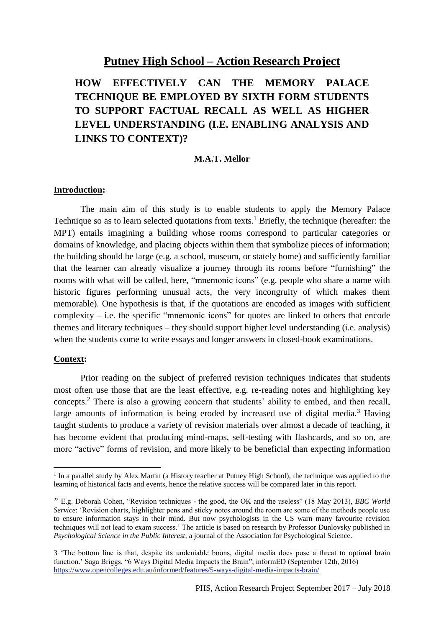## **Putney High School – Action Research Project**

## **HOW EFFECTIVELY CAN THE MEMORY PALACE TECHNIQUE BE EMPLOYED BY SIXTH FORM STUDENTS TO SUPPORT FACTUAL RECALL AS WELL AS HIGHER LEVEL UNDERSTANDING (I.E. ENABLING ANALYSIS AND LINKS TO CONTEXT)?**

#### **M.A.T. Mellor**

#### **Introduction:**

The main aim of this study is to enable students to apply the Memory Palace Technique so as to learn selected quotations from texts.<sup>1</sup> Briefly, the technique (hereafter: the MPT) entails imagining a building whose rooms correspond to particular categories or domains of knowledge, and placing objects within them that symbolize pieces of information; the building should be large (e.g. a school, museum, or stately home) and sufficiently familiar that the learner can already visualize a journey through its rooms before "furnishing" the rooms with what will be called, here, "mnemonic icons" (e.g. people who share a name with historic figures performing unusual acts, the very incongruity of which makes them memorable). One hypothesis is that, if the quotations are encoded as images with sufficient complexity – i.e. the specific "mnemonic icons" for quotes are linked to others that encode themes and literary techniques – they should support higher level understanding (i.e. analysis) when the students come to write essays and longer answers in closed-book examinations.

### **Context:**

Prior reading on the subject of preferred revision techniques indicates that students most often use those that are the least effective, e.g. re-reading notes and highlighting key concepts.<sup>2</sup> There is also a growing concern that students' ability to embed, and then recall, large amounts of information is being eroded by increased use of digital media.<sup>3</sup> Having taught students to produce a variety of revision materials over almost a decade of teaching, it has become evident that producing mind-maps, self-testing with flashcards, and so on, are more "active" forms of revision, and more likely to be beneficial than expecting information

I In a parallel study by Alex Martin (a History teacher at Putney High School), the technique was applied to the learning of historical facts and events, hence the relative success will be compared later in this report.

<sup>22</sup> E.g. Deborah Cohen, "Revision techniques - the good, the OK and the useless" (18 May 2013), *BBC World Service*: 'Revision charts, highlighter pens and sticky notes around the room are some of the methods people use to ensure information stays in their mind. But now psychologists in the US warn many favourite revision techniques will not lead to exam success.' The article is based on research by Professor Dunlovsky published in *Psychological Science in the Public Interest*, a journal of the Association for Psychological Science.

<sup>3</sup> 'The bottom line is that, despite its undeniable boons, digital media does pose a threat to optimal brain function.' Saga Briggs, "6 Ways Digital Media Impacts the Brain", informED (September 12th, 2016) <https://www.opencolleges.edu.au/informed/features/5-ways-digital-media-impacts-brain/>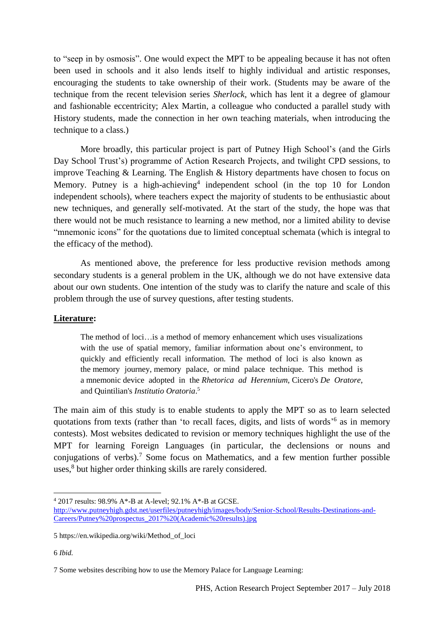to "seep in by osmosis". One would expect the MPT to be appealing because it has not often been used in schools and it also lends itself to highly individual and artistic responses, encouraging the students to take ownership of their work. (Students may be aware of the technique from the recent television series *Sherlock*, which has lent it a degree of glamour and fashionable eccentricity; Alex Martin, a colleague who conducted a parallel study with History students, made the connection in her own teaching materials, when introducing the technique to a class.)

More broadly, this particular project is part of Putney High School's (and the Girls Day School Trust's) programme of Action Research Projects, and twilight CPD sessions, to improve Teaching & Learning. The English & History departments have chosen to focus on Memory. Putney is a high-achieving<sup>4</sup> independent school (in the top 10 for London independent schools), where teachers expect the majority of students to be enthusiastic about new techniques, and generally self-motivated. At the start of the study, the hope was that there would not be much resistance to learning a new method, nor a limited ability to devise "mnemonic icons" for the quotations due to limited conceptual schemata (which is integral to the efficacy of the method).

As mentioned above, the preference for less productive revision methods among secondary students is a general problem in the UK, although we do not have extensive data about our own students. One intention of the study was to clarify the nature and scale of this problem through the use of survey questions, after testing students.

### **Literature:**

The method of loci…is a method of memory enhancement which uses visualizations with the use of spatial memory, familiar information about one's environment, to quickly and efficiently recall information. The method of loci is also known as the memory journey, memory palace, or mind palace technique. This method is a mnemonic device adopted in the *Rhetorica ad Herennium*, Cicero's *De Oratore*, and Quintilian's *Institutio Oratoria*. 5

The main aim of this study is to enable students to apply the MPT so as to learn selected quotations from texts (rather than 'to recall faces, digits, and lists of words'<sup>6</sup> as in memory contests). Most websites dedicated to revision or memory techniques highlight the use of the MPT for learning Foreign Languages (in particular, the declensions or nouns and conjugations of verbs).<sup>7</sup> Some focus on Mathematics, and a few mention further possible uses,<sup>8</sup> but higher order thinking skills are rarely considered.

 $\overline{a}$ 

<sup>4</sup> 2017 results: 98.9% A\*-B at A-level; 92.1% A\*-B at GCSE.

[http://www.putneyhigh.gdst.net/userfiles/putneyhigh/images/body/Senior-School/Results-Destinations-and-](http://www.putneyhigh.gdst.net/userfiles/putneyhigh/images/body/Senior-School/Results-Destinations-and-Careers/Putney%20prospectus_2017%20(Academic%20results).jpg)[Careers/Putney%20prospectus\\_2017%20\(Academic%20results\).jpg](http://www.putneyhigh.gdst.net/userfiles/putneyhigh/images/body/Senior-School/Results-Destinations-and-Careers/Putney%20prospectus_2017%20(Academic%20results).jpg)

<sup>5</sup> [https://en.wikipedia.org/wiki/Method\\_of\\_loci](https://en.wikipedia.org/wiki/Method_of_loci)

<sup>6</sup> *[Ibid.](https://en.wikipedia.org/wiki/Method_of_loci)*

<sup>7</sup> Some websites describing how to use the Memory Palace for Language Learning: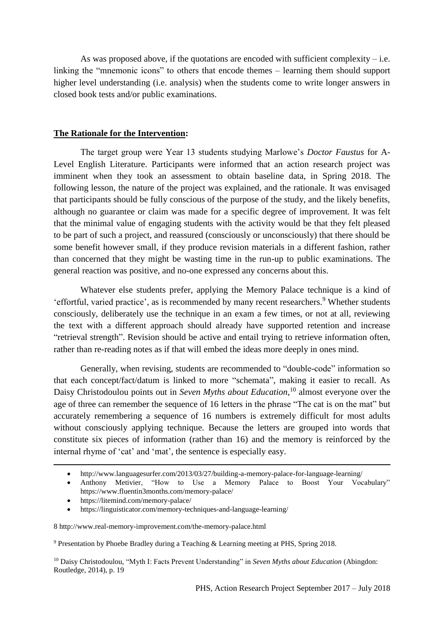As was proposed above, if the quotations are encoded with sufficient complexity – i.e. linking the "mnemonic icons" to others that encode themes – learning them should support higher level understanding (i.e. analysis) when the students come to write longer answers in closed book tests and/or public examinations.

#### **The Rationale for the Intervention:**

The target group were Year 13 students studying Marlowe's *Doctor Faustus* for A-Level English Literature. Participants were informed that an action research project was imminent when they took an assessment to obtain baseline data, in Spring 2018. The following lesson, the nature of the project was explained, and the rationale. It was envisaged that participants should be fully conscious of the purpose of the study, and the likely benefits, although no guarantee or claim was made for a specific degree of improvement. It was felt that the minimal value of engaging students with the activity would be that they felt pleased to be part of such a project, and reassured (consciously or unconsciously) that there should be some benefit however small, if they produce revision materials in a different fashion, rather than concerned that they might be wasting time in the run-up to public examinations. The general reaction was positive, and no-one expressed any concerns about this.

Whatever else students prefer, applying the Memory Palace technique is a kind of 'effortful, varied practice', as is recommended by many recent researchers.<sup>9</sup> Whether students consciously, deliberately use the technique in an exam a few times, or not at all, reviewing the text with a different approach should already have supported retention and increase "retrieval strength". Revision should be active and entail trying to retrieve information often, rather than re-reading notes as if that will embed the ideas more deeply in ones mind.

Generally, when revising, students are recommended to "double-code" information so that each concept/fact/datum is linked to more "schemata", making it easier to recall. As Daisy Christodoulou points out in *Seven Myths about Education*, <sup>10</sup> almost everyone over the age of three can remember the sequence of 16 letters in the phrase "The cat is on the mat" but accurately remembering a sequence of 16 numbers is extremely difficult for most adults without consciously applying technique. Because the letters are grouped into words that constitute six pieces of information (rather than 16) and the memory is reinforced by the internal rhyme of 'cat' and 'mat', the sentence is especially easy.

- [Anthony Metivier,](https://www.fluentin3months.com/author/metivierann/) "How to Use a Memory Palace to Boost Your Vocabulary" <https://www.fluentin3months.com/memory-palace/>
- <https://litemind.com/memory-palace/>

**.** 

<https://linguisticator.com/memory-techniques-and-language-learning/>

<http://www.languagesurfer.com/2013/03/27/building-a-memory-palace-for-language-learning/>

<sup>8</sup> <http://www.real-memory-improvement.com/the-memory-palace.html>

<sup>9</sup> Presentation by Phoebe Bradley during a Teaching & Learning meeting at PHS, Spring 2018.

<sup>&</sup>lt;sup>10</sup> Daisy Christodoulou, "Myth I: Facts Prevent Understanding" in *Seven Myths about Education* (Abingdon: Routledge, 2014), p. 19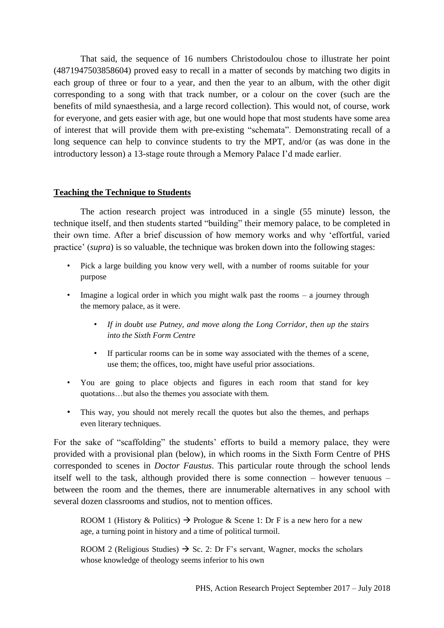That said, the sequence of 16 numbers Christodoulou chose to illustrate her point (4871947503858604) proved easy to recall in a matter of seconds by matching two digits in each group of three or four to a year, and then the year to an album, with the other digit corresponding to a song with that track number, or a colour on the cover (such are the benefits of mild synaesthesia, and a large record collection). This would not, of course, work for everyone, and gets easier with age, but one would hope that most students have some area of interest that will provide them with pre-existing "schemata". Demonstrating recall of a long sequence can help to convince students to try the MPT, and/or (as was done in the introductory lesson) a 13-stage route through a Memory Palace I'd made earlier.

### **Teaching the Technique to Students**

The action research project was introduced in a single (55 minute) lesson, the technique itself, and then students started "building" their memory palace, to be completed in their own time. After a brief discussion of how memory works and why 'effortful, varied practice' (*supra*) is so valuable, the technique was broken down into the following stages:

- Pick a large building you know very well, with a number of rooms suitable for your purpose
- Imagine a logical order in which you might walk past the rooms a journey through the memory palace, as it were.
	- *If in doubt use Putney, and move along the Long Corridor, then up the stairs into the Sixth Form Centre*
	- If particular rooms can be in some way associated with the themes of a scene, use them; the offices, too, might have useful prior associations.
- You are going to place objects and figures in each room that stand for key quotations…but also the themes you associate with them.
- This way, you should not merely recall the quotes but also the themes, and perhaps even literary techniques.

For the sake of "scaffolding" the students' efforts to build a memory palace, they were provided with a provisional plan (below), in which rooms in the Sixth Form Centre of PHS corresponded to scenes in *Doctor Faustus*. This particular route through the school lends itself well to the task, although provided there is some connection – however tenuous – between the room and the themes, there are innumerable alternatives in any school with several dozen classrooms and studios, not to mention offices.

ROOM 1 (History & Politics)  $\rightarrow$  Prologue & Scene 1: Dr F is a new hero for a new age, a turning point in history and a time of political turmoil.

ROOM 2 (Religious Studies)  $\rightarrow$  Sc. 2: Dr F's servant, Wagner, mocks the scholars whose knowledge of theology seems inferior to his own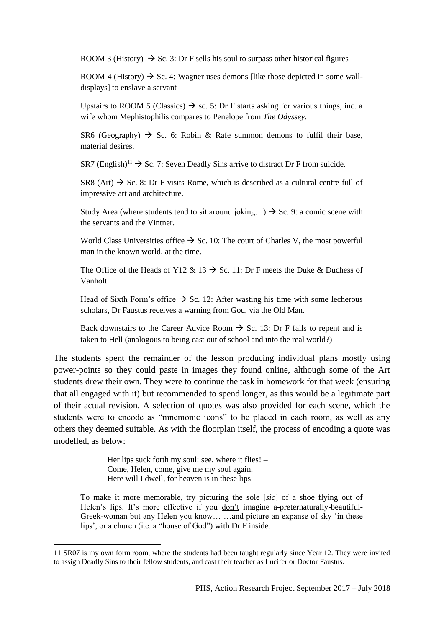ROOM 3 (History)  $\rightarrow$  Sc. 3: Dr F sells his soul to surpass other historical figures

ROOM 4 (History)  $\rightarrow$  Sc. 4: Wagner uses demons [like those depicted in some walldisplays] to enslave a servant

Upstairs to ROOM 5 (Classics)  $\rightarrow$  sc. 5: Dr F starts asking for various things, inc. a wife whom Mephistophilis compares to Penelope from *The Odyssey*.

SR6 (Geography)  $\rightarrow$  Sc. 6: Robin & Rafe summon demons to fulfil their base, material desires.

SR7 (English)<sup>11</sup>  $\rightarrow$  Sc. 7: Seven Deadly Sins arrive to distract Dr F from suicide.

SR8 (Art)  $\rightarrow$  Sc. 8: Dr F visits Rome, which is described as a cultural centre full of impressive art and architecture.

Study Area (where students tend to sit around joking...)  $\rightarrow$  Sc. 9: a comic scene with the servants and the Vintner.

World Class Universities office  $\rightarrow$  Sc. 10: The court of Charles V, the most powerful man in the known world, at the time.

The Office of the Heads of Y12 & 13  $\rightarrow$  Sc. 11: Dr F meets the Duke & Duchess of Vanholt.

Head of Sixth Form's office  $\rightarrow$  Sc. 12: After wasting his time with some lecherous scholars, Dr Faustus receives a warning from God, via the Old Man.

Back downstairs to the Career Advice Room  $\rightarrow$  Sc. 13: Dr F fails to repent and is taken to Hell (analogous to being cast out of school and into the real world?)

The students spent the remainder of the lesson producing individual plans mostly using power-points so they could paste in images they found online, although some of the Art students drew their own. They were to continue the task in homework for that week (ensuring that all engaged with it) but recommended to spend longer, as this would be a legitimate part of their actual revision. A selection of quotes was also provided for each scene, which the students were to encode as "mnemonic icons" to be placed in each room, as well as any others they deemed suitable. As with the floorplan itself, the process of encoding a quote was modelled, as below:

> Her lips suck forth my soul: see, where it flies! – Come, Helen, come, give me my soul again. Here will I dwell, for heaven is in these lips

 $\overline{a}$ 

To make it more memorable, try picturing the sole [*sic*] of a shoe flying out of Helen's lips. It's more effective if you don't imagine a-preternaturally-beautiful-Greek-woman but any Helen you know… …and picture an expanse of sky 'in these lips', or a church (i.e. a "house of God") with Dr F inside.

<sup>11</sup> SR07 is my own form room, where the students had been taught regularly since Year 12. They were invited to assign Deadly Sins to their fellow students, and cast their teacher as Lucifer or Doctor Faustus.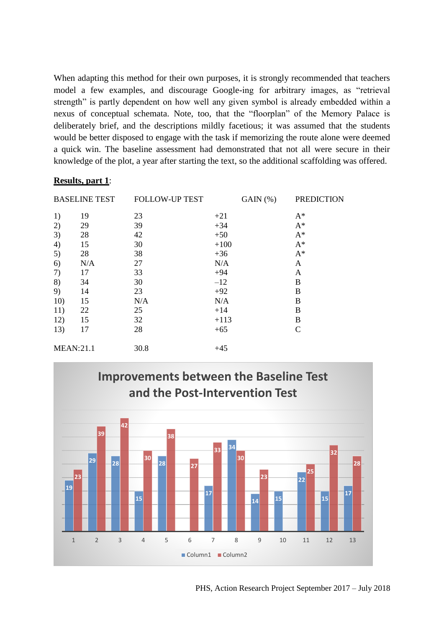When adapting this method for their own purposes, it is strongly recommended that teachers model a few examples, and discourage Google-ing for arbitrary images, as "retrieval strength" is partly dependent on how well any given symbol is already embedded within a nexus of conceptual schemata. Note, too, that the "floorplan" of the Memory Palace is deliberately brief, and the descriptions mildly facetious; it was assumed that the students would be better disposed to engage with the task if memorizing the route alone were deemed a quick win. The baseline assessment had demonstrated that not all were secure in their knowledge of the plot, a year after starting the text, so the additional scaffolding was offered.

### **Results, part 1**:

| <b>BASELINE TEST</b> |     | <b>FOLLOW-UP TEST</b> |        | GAIN (%) | <b>PREDICTION</b> |
|----------------------|-----|-----------------------|--------|----------|-------------------|
| 1)                   | 19  | 23                    | $+21$  |          | $A^*$             |
| 2)                   | 29  | 39                    | $+34$  |          | $A^*$             |
| 3)                   | 28  | 42                    | $+50$  |          | $A^*$             |
| 4)                   | 15  | 30                    | $+100$ |          | $A^*$             |
| 5)                   | 28  | 38                    | $+36$  |          | $A^*$             |
| 6)                   | N/A | 27                    | N/A    |          | A                 |
| 7)                   | 17  | 33                    | $+94$  |          | A                 |
| 8)                   | 34  | 30                    | $-12$  |          | B                 |
| 9)                   | 14  | 23                    | $+92$  |          | B                 |
| 10)                  | 15  | N/A                   | N/A    |          | B                 |
| 11)                  | 22  | 25                    | $+14$  |          | B                 |
| 12)                  | 15  | 32                    | $+113$ |          | B                 |
| 13)                  | 17  | 28                    | $+65$  |          | $\mathsf{C}$      |
| <b>MEAN:21.1</b>     |     | 30.8                  | $+45$  |          |                   |



PHS, Action Research Project September 2017 – July 2018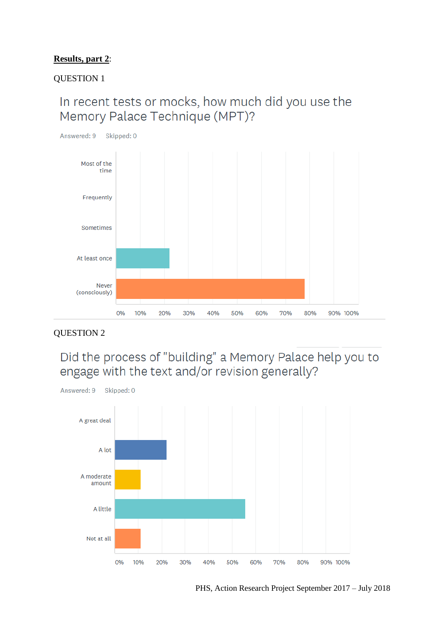## **Results, part 2**:

### QUESTION 1

## In recent tests or mocks, how much did you use the Memory Palace Technique (MPT)?



### QUESTION 2

# Did the process of "building" a Memory Palace help you to engage with the text and/or revision generally?

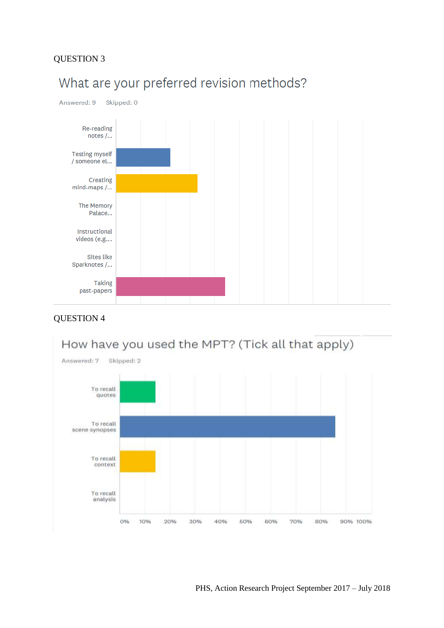## QUESTION 3



# What are your preferred revision methods?

## QUESTION 4

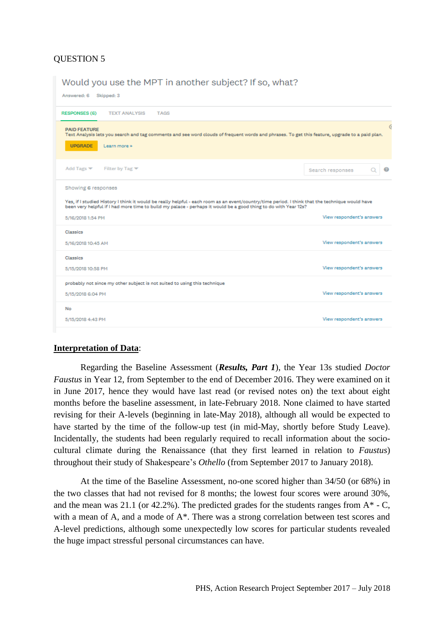## QUESTION 5

Would you use the MPT in another subject? If so, what?

| Answered: 6 Skipped: 3                                                                                                                                                                                                                                                                    |                           |   |  |  |  |  |  |
|-------------------------------------------------------------------------------------------------------------------------------------------------------------------------------------------------------------------------------------------------------------------------------------------|---------------------------|---|--|--|--|--|--|
| <b>RESPONSES (6)</b><br><b>TEXT ANALYSIS</b><br><b>TAGS</b>                                                                                                                                                                                                                               |                           |   |  |  |  |  |  |
| <b>PAID FEATURE</b><br>Text Analysis lets you search and tag comments and see word clouds of frequent words and phrases. To get this feature, upgrade to a paid plan.<br><b>UPGRADE</b><br>Learn more »                                                                                   |                           | 6 |  |  |  |  |  |
| Add Tags $\blacktriangledown$<br>Filter by Tag $\blacktriangledown$                                                                                                                                                                                                                       | Search responses          |   |  |  |  |  |  |
| Showing 6 responses<br>Yes, if I studied History I think it would be really helpful - each room as an event/country/time period. I think that the technique would have<br>been very helpful if I had more time to build my palace - perhaps it would be a good thing to do with Year 12s? |                           |   |  |  |  |  |  |
| View respondent's answers<br>5/16/2018 1:54 PM                                                                                                                                                                                                                                            |                           |   |  |  |  |  |  |
| Classics<br>5/16/2018 10:45 AM                                                                                                                                                                                                                                                            | View respondent's answers |   |  |  |  |  |  |
| Classics<br>5/15/2018 10:58 PM                                                                                                                                                                                                                                                            | View respondent's answers |   |  |  |  |  |  |
| probably not since my other subject is not suited to using this technique<br>5/15/2018 6:04 PM                                                                                                                                                                                            | View respondent's answers |   |  |  |  |  |  |
| No<br>5/15/2018 4:43 PM                                                                                                                                                                                                                                                                   | View respondent's answers |   |  |  |  |  |  |

### **Interpretation of Data**:

Regarding the Baseline Assessment (*Results, Part 1*), the Year 13s studied *Doctor Faustus* in Year 12, from September to the end of December 2016. They were examined on it in June 2017, hence they would have last read (or revised notes on) the text about eight months before the baseline assessment, in late-February 2018. None claimed to have started revising for their A-levels (beginning in late-May 2018), although all would be expected to have started by the time of the follow-up test (in mid-May, shortly before Study Leave). Incidentally, the students had been regularly required to recall information about the sociocultural climate during the Renaissance (that they first learned in relation to *Faustus*) throughout their study of Shakespeare's *Othello* (from September 2017 to January 2018).

At the time of the Baseline Assessment, no-one scored higher than 34/50 (or 68%) in the two classes that had not revised for 8 months; the lowest four scores were around 30%, and the mean was 21.1 (or 42.2%). The predicted grades for the students ranges from  $A^*$  - C, with a mean of A, and a mode of  $A^*$ . There was a strong correlation between test scores and A-level predictions, although some unexpectedly low scores for particular students revealed the huge impact stressful personal circumstances can have.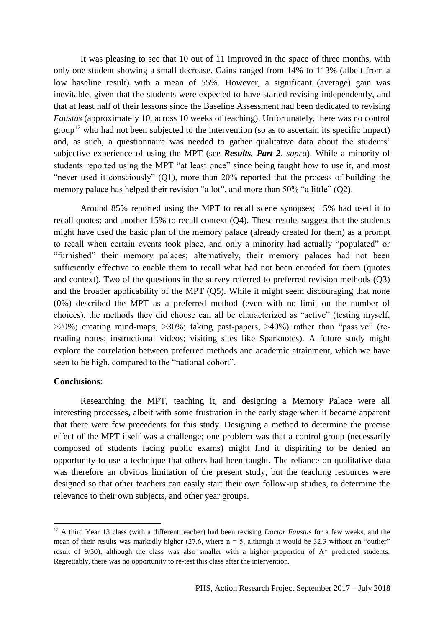It was pleasing to see that 10 out of 11 improved in the space of three months, with only one student showing a small decrease. Gains ranged from 14% to 113% (albeit from a low baseline result) with a mean of 55%. However, a significant (average) gain was inevitable, given that the students were expected to have started revising independently, and that at least half of their lessons since the Baseline Assessment had been dedicated to revising *Faustus* (approximately 10, across 10 weeks of teaching). Unfortunately, there was no control  $\text{group}^{12}$  who had not been subjected to the intervention (so as to ascertain its specific impact) and, as such, a questionnaire was needed to gather qualitative data about the students' subjective experience of using the MPT (see *Results, Part 2*, *supra*). While a minority of students reported using the MPT "at least once" since being taught how to use it, and most "never used it consciously" (Q1), more than 20% reported that the process of building the memory palace has helped their revision "a lot", and more than 50% "a little" (Q2).

Around 85% reported using the MPT to recall scene synopses; 15% had used it to recall quotes; and another 15% to recall context (Q4). These results suggest that the students might have used the basic plan of the memory palace (already created for them) as a prompt to recall when certain events took place, and only a minority had actually "populated" or "furnished" their memory palaces; alternatively, their memory palaces had not been sufficiently effective to enable them to recall what had not been encoded for them (quotes and context). Two of the questions in the survey referred to preferred revision methods (Q3) and the broader applicability of the MPT (Q5). While it might seem discouraging that none (0%) described the MPT as a preferred method (even with no limit on the number of choices), the methods they did choose can all be characterized as "active" (testing myself, >20%; creating mind-maps, >30%; taking past-papers, >40%) rather than "passive" (rereading notes; instructional videos; visiting sites like Sparknotes). A future study might explore the correlation between preferred methods and academic attainment, which we have seen to be high, compared to the "national cohort".

### **Conclusions**:

**.** 

Researching the MPT, teaching it, and designing a Memory Palace were all interesting processes, albeit with some frustration in the early stage when it became apparent that there were few precedents for this study. Designing a method to determine the precise effect of the MPT itself was a challenge; one problem was that a control group (necessarily composed of students facing public exams) might find it dispiriting to be denied an opportunity to use a technique that others had been taught. The reliance on qualitative data was therefore an obvious limitation of the present study, but the teaching resources were designed so that other teachers can easily start their own follow-up studies, to determine the relevance to their own subjects, and other year groups.

<sup>12</sup> A third Year 13 class (with a different teacher) had been revising *Doctor Faustus* for a few weeks, and the mean of their results was markedly higher  $(27.6,$  where  $n = 5$ , although it would be 32.3 without an "outlier" result of 9/50), although the class was also smaller with a higher proportion of A\* predicted students. Regrettably, there was no opportunity to re-test this class after the intervention.